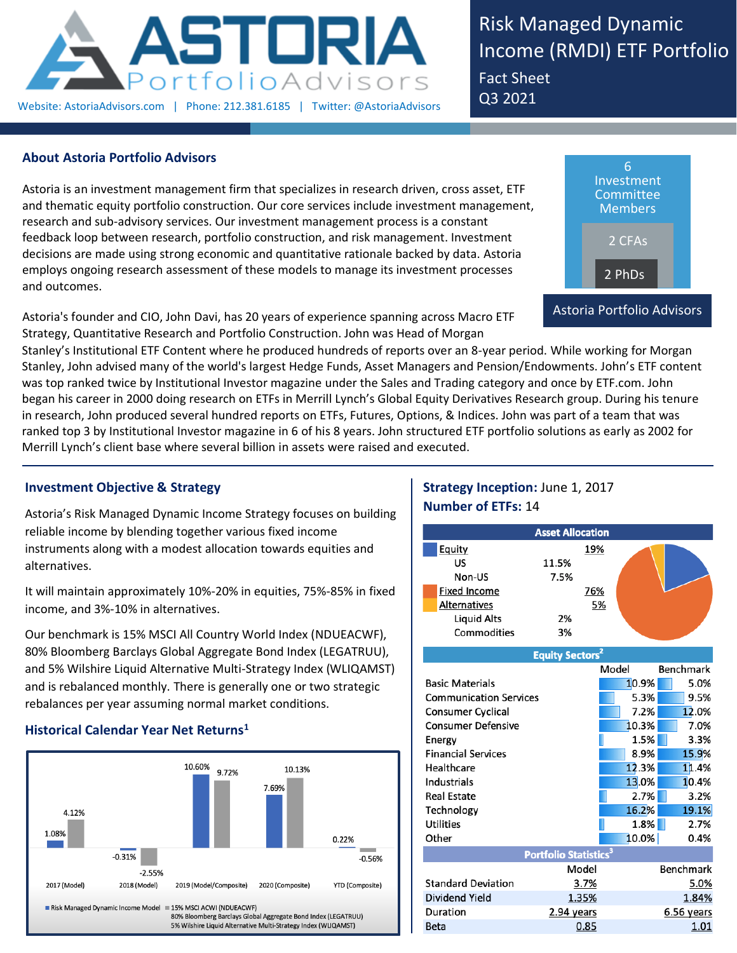

Risk Managed Dynamic Income (RMDI) ETF Portfolio Fact Sheet Q3 2021

## **About Astoria Portfolio Advisors**

Astoria is an investment management firm that specializes in research driven, cross asset, ETF and thematic equity portfolio construction. Our core services include investment management, research and sub-advisory services. Our investment management process is a constant feedback loop between research, portfolio construction, and risk management. Investment decisions are made using strong economic and quantitative rationale backed by data. Astoria employs ongoing research assessment of these models to manage its investment processes and outcomes.

Astoria's founder and CIO, John Davi, has 20 years of experience spanning across Macro ETF Strategy, Quantitative Research and Portfolio Construction. John was Head of Morgan

6 Investment Committee Members 2 CFAs 2 PhDs Astoria Portfolio Advisors

Stanley's Institutional ETF Content where he produced hundreds of reports over an 8-year period. While working for Morgan Stanley, John advised many of the world's largest Hedge Funds, Asset Managers and Pension/Endowments. John's ETF content was top ranked twice by Institutional Investor magazine under the Sales and Trading category and once by ETF.com. John began his career in 2000 doing research on ETFs in Merrill Lynch's Global Equity Derivatives Research group. During his tenure in research, John produced several hundred reports on ETFs, Futures, Options, & Indices. John was part of a team that was ranked top 3 by Institutional Investor magazine in 6 of his 8 years. John structured ETF portfolio solutions as early as 2002 for Merrill Lynch's client base where several billion in assets were raised and executed.

## **Investment Objective & Strategy**

Astoria's Risk Managed Dynamic Income Strategy focuses on building reliable income by blending together various fixed income instruments along with a modest allocation towards equities and alternatives.

It will maintain approximately 10%-20% in equities, 75%-85% in fixed income, and 3%-10% in alternatives.

Our benchmark is 15% MSCI All Country World Index (NDUEACWF), 80% Bloomberg Barclays Global Aggregate Bond Index (LEGATRUU), and 5% Wilshire Liquid Alternative Multi-Strategy Index (WLIQAMST) and is rebalanced monthly. There is generally one or two strategic rebalances per year assuming normal market conditions.

## **Historical Calendar Year Net Returns<sup>1</sup>**



# **Strategy Inception:** June 1, 2017 **Number of ETFs:** 14

|                               | <b>Asset Allocation</b>           |      |       |                  |
|-------------------------------|-----------------------------------|------|-------|------------------|
| <u>Equity</u>                 |                                   | 19%  |       |                  |
| US                            | 11.5%                             |      |       |                  |
| Non-US                        | 7.5%                              |      |       |                  |
| <b>Fixed Income</b>           |                                   | 76%  |       |                  |
| <b>Alternatives</b>           |                                   | 5%   |       |                  |
| <b>Liquid Alts</b>            | 2%                                |      |       |                  |
| Commodities                   | 3%                                |      |       |                  |
|                               | <b>Equity Sectors<sup>2</sup></b> |      |       |                  |
|                               |                                   |      | Model | <b>Benchmark</b> |
| <b>Basic Materials</b>        |                                   |      | 10.9% | 5.0%             |
| <b>Communication Services</b> |                                   |      | 5.3%  | 9.5%             |
| Consumer Cyclical             |                                   |      | 7.2%  | 12.0%            |
| <b>Consumer Defensive</b>     |                                   |      | 10.3% | 7.0%             |
| Energy                        |                                   |      | 1.5%  | 3.3%             |
| <b>Financial Services</b>     |                                   |      | 8.9%  | 15.9%            |
| Healthcare                    |                                   |      | 12.3% | 11.4%            |
| Industrials                   |                                   |      | 13.0% | 10.4%            |
| <b>Real Estate</b>            |                                   |      | 2.7%  | 3.2%             |
| Technology                    |                                   |      | 16.2% | 19.1%            |
| <b>Utilities</b>              |                                   |      | 1.8%  | 2.7%             |
| Other                         |                                   |      | 10.0% | 0.4%             |
|                               | Portfolio Statistics <sup>3</sup> |      |       |                  |
|                               | Model                             |      |       | <b>Benchmark</b> |
| <b>Standard Deviation</b>     | 3.7%                              |      |       | 5.0%             |
| <b>Dividend Yield</b>         | 1.35%                             |      |       | 1.84%            |
| Duration                      | 2.94 years                        |      |       | $6.56$ years     |
| <b>Beta</b>                   |                                   | 0.85 |       | 1.01             |
|                               |                                   |      |       |                  |